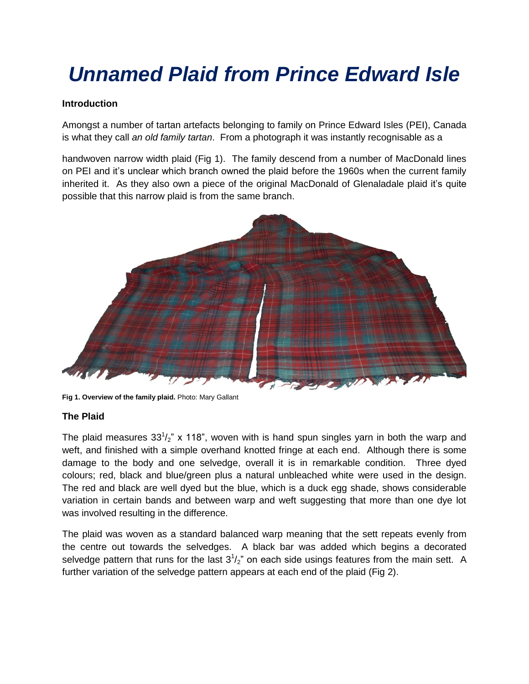# *Unnamed Plaid from Prince Edward Isle*

# **Introduction**

Amongst a number of tartan artefacts belonging to family on Prince Edward Isles (PEI), Canada is what they call *an old family tartan*. From a photograph it was instantly recognisable as a

handwoven narrow width plaid (Fig 1). The family descend from a number of MacDonald lines on PEI and it's unclear which branch owned the plaid before the 1960s when the current family inherited it. As they also own a piece of the original MacDonald of Glenaladale plaid it's quite possible that this narrow plaid is from the same branch.



**Fig 1. Overview of the family plaid.** Photo: Mary Gallant

#### **The Plaid**

The plaid measures  $33^{1}/_{2}$ " x 118", woven with is hand spun singles yarn in both the warp and weft, and finished with a simple overhand knotted fringe at each end. Although there is some damage to the body and one selvedge, overall it is in remarkable condition. Three dyed colours; red, black and blue/green plus a natural unbleached white were used in the design. The red and black are well dyed but the blue, which is a duck egg shade, shows considerable variation in certain bands and between warp and weft suggesting that more than one dye lot was involved resulting in the difference.

The plaid was woven as a standard balanced warp meaning that the sett repeats evenly from the centre out towards the selvedges. A black bar was added which begins a decorated selvedge pattern that runs for the last  $3^{1}/_{2}$ " on each side usings features from the main sett. A further variation of the selvedge pattern appears at each end of the plaid (Fig 2).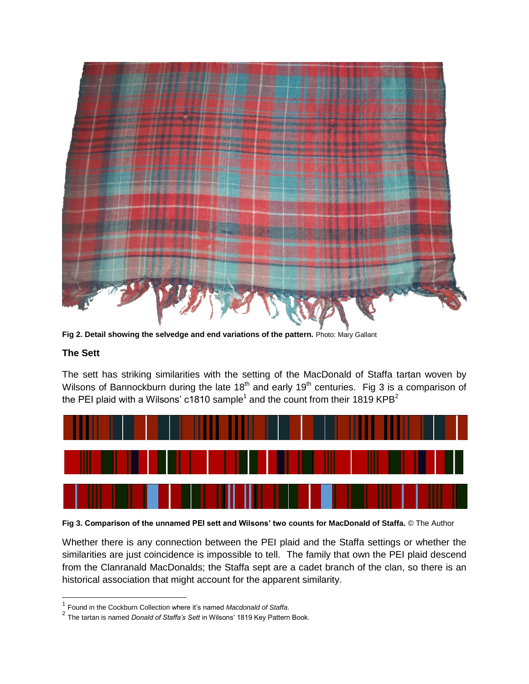

**Fig 2. Detail showing the selvedge and end variations of the pattern.** Photo: Mary Gallant

# **The Sett**

The sett has striking similarities with the setting of the MacDonald of Staffa tartan woven by Wilsons of Bannockburn during the late 18<sup>th</sup> and early 19<sup>th</sup> centuries. Fig 3 is a comparison of the PEI plaid with a Wilsons' c1810 sample<sup>1</sup> and the count from their 1819 KPB<sup>2</sup>



**Fig 3. Comparison of the unnamed PEI sett and Wilsons' two counts for MacDonald of Staffa.** © The Author

Whether there is any connection between the PEI plaid and the Staffa settings or whether the similarities are just coincidence is impossible to tell. The family that own the PEI plaid descend from the Clanranald MacDonalds; the Staffa sept are a cadet branch of the clan, so there is an historical association that might account for the apparent similarity.

<sup>1</sup> Found in the Cockburn Collection where it's named *Macdonald of Staffa*.

<sup>2</sup> The tartan is named *Donald of Staffa's Sett* in Wilsons' 1819 Key Pattern Book.